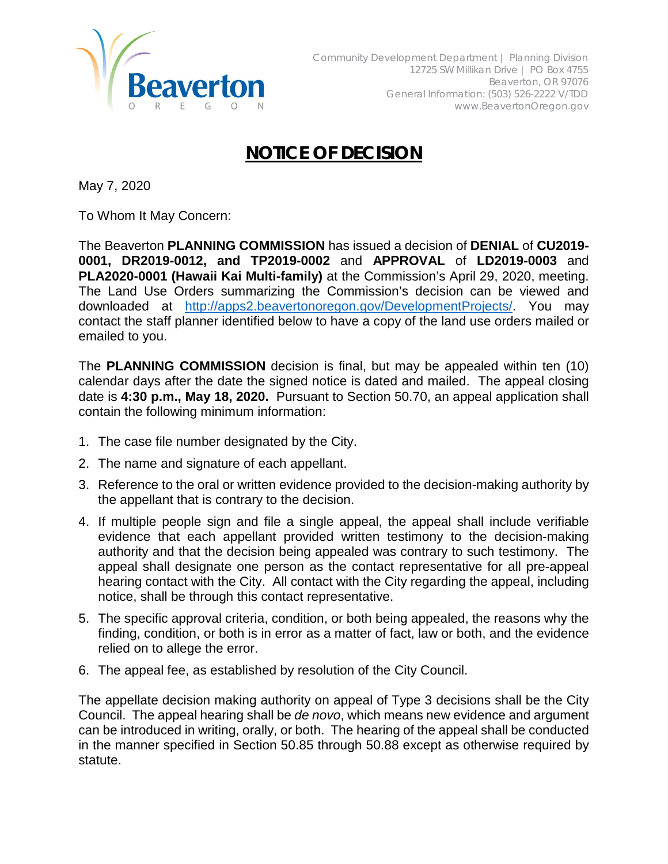

## **NOTICE OF DECISION**

May 7, 2020

To Whom It May Concern:

The Beaverton **PLANNING COMMISSION** has issued a decision of **DENIAL** of **CU2019- 0001, DR2019-0012, and TP2019-0002** and **APPROVAL** of **LD2019-0003** and **PLA2020-0001 (Hawaii Kai Multi-family)** at the Commission's April 29, 2020, meeting. The Land Use Orders summarizing the Commission's decision can be viewed and downloaded at [http://apps2.beavertonoregon.gov/DevelopmentProjects/.](http://apps2.beavertonoregon.gov/DevelopmentProjects/) You may contact the staff planner identified below to have a copy of the land use orders mailed or emailed to you.

The **PLANNING COMMISSION** decision is final, but may be appealed within ten (10) calendar days after the date the signed notice is dated and mailed. The appeal closing date is **4:30 p.m., May 18, 2020.** Pursuant to Section 50.70, an appeal application shall contain the following minimum information:

- 1. The case file number designated by the City.
- 2. The name and signature of each appellant.
- 3. Reference to the oral or written evidence provided to the decision-making authority by the appellant that is contrary to the decision.
- 4. If multiple people sign and file a single appeal, the appeal shall include verifiable evidence that each appellant provided written testimony to the decision-making authority and that the decision being appealed was contrary to such testimony. The appeal shall designate one person as the contact representative for all pre-appeal hearing contact with the City. All contact with the City regarding the appeal, including notice, shall be through this contact representative.
- 5. The specific approval criteria, condition, or both being appealed, the reasons why the finding, condition, or both is in error as a matter of fact, law or both, and the evidence relied on to allege the error.
- 6. The appeal fee, as established by resolution of the City Council.

The appellate decision making authority on appeal of Type 3 decisions shall be the City Council. The appeal hearing shall be *de novo*, which means new evidence and argument can be introduced in writing, orally, or both. The hearing of the appeal shall be conducted in the manner specified in Section 50.85 through 50.88 except as otherwise required by statute.